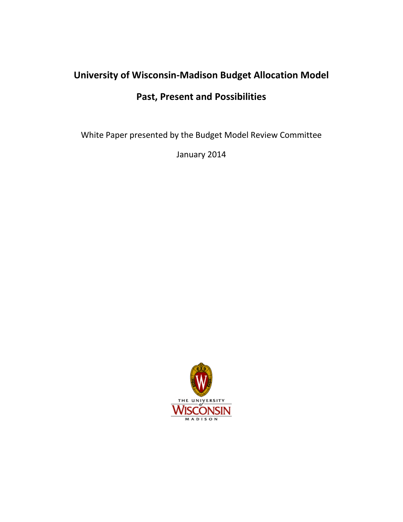# **University of Wisconsin-Madison Budget Allocation Model Past, Present and Possibilities**

White Paper presented by the Budget Model Review Committee

January 2014

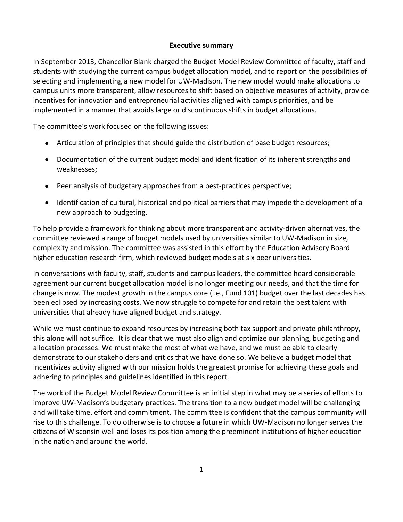#### **Executive summary**

In September 2013, Chancellor Blank charged the Budget Model Review Committee of faculty, staff and students with studying the current campus budget allocation model, and to report on the possibilities of selecting and implementing a new model for UW-Madison. The new model would make allocations to campus units more transparent, allow resources to shift based on objective measures of activity, provide incentives for innovation and entrepreneurial activities aligned with campus priorities, and be implemented in a manner that avoids large or discontinuous shifts in budget allocations.

The committee's work focused on the following issues:

- Articulation of principles that should guide the distribution of base budget resources;
- Documentation of the current budget model and identification of its inherent strengths and weaknesses;
- Peer analysis of budgetary approaches from a best-practices perspective;
- Identification of cultural, historical and political barriers that may impede the development of a new approach to budgeting.

To help provide a framework for thinking about more transparent and activity-driven alternatives, the committee reviewed a range of budget models used by universities similar to UW-Madison in size, complexity and mission. The committee was assisted in this effort by the Education Advisory Board higher education research firm, which reviewed budget models at six peer universities.

In conversations with faculty, staff, students and campus leaders, the committee heard considerable agreement our current budget allocation model is no longer meeting our needs, and that the time for change is now. The modest growth in the campus core (i.e., Fund 101) budget over the last decades has been eclipsed by increasing costs. We now struggle to compete for and retain the best talent with universities that already have aligned budget and strategy.

While we must continue to expand resources by increasing both tax support and private philanthropy, this alone will not suffice. It is clear that we must also align and optimize our planning, budgeting and allocation processes. We must make the most of what we have, and we must be able to clearly demonstrate to our stakeholders and critics that we have done so. We believe a budget model that incentivizes activity aligned with our mission holds the greatest promise for achieving these goals and adhering to principles and guidelines identified in this report.

The work of the Budget Model Review Committee is an initial step in what may be a series of efforts to improve UW-Madison's budgetary practices. The transition to a new budget model will be challenging and will take time, effort and commitment. The committee is confident that the campus community will rise to this challenge. To do otherwise is to choose a future in which UW-Madison no longer serves the citizens of Wisconsin well and loses its position among the preeminent institutions of higher education in the nation and around the world.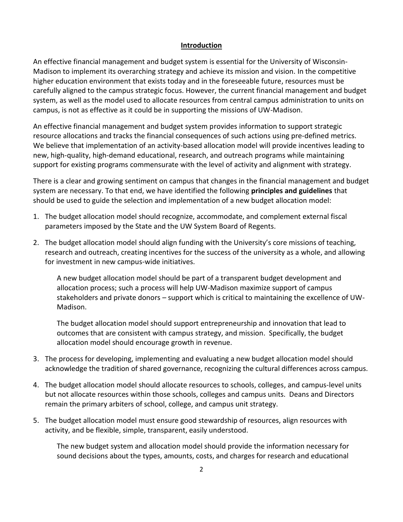#### **Introduction**

An effective financial management and budget system is essential for the University of Wisconsin-Madison to implement its overarching strategy and achieve its mission and vision. In the competitive higher education environment that exists today and in the foreseeable future, resources must be carefully aligned to the campus strategic focus. However, the current financial management and budget system, as well as the model used to allocate resources from central campus administration to units on campus, is not as effective as it could be in supporting the missions of UW-Madison.

An effective financial management and budget system provides information to support strategic resource allocations and tracks the financial consequences of such actions using pre-defined metrics. We believe that implementation of an activity-based allocation model will provide incentives leading to new, high-quality, high-demand educational, research, and outreach programs while maintaining support for existing programs commensurate with the level of activity and alignment with strategy.

There is a clear and growing sentiment on campus that changes in the financial management and budget system are necessary. To that end, we have identified the following **principles and guidelines** that should be used to guide the selection and implementation of a new budget allocation model:

- 1. The budget allocation model should recognize, accommodate, and complement external fiscal parameters imposed by the State and the UW System Board of Regents.
- 2. The budget allocation model should align funding with the University's core missions of teaching, research and outreach, creating incentives for the success of the university as a whole, and allowing for investment in new campus-wide initiatives.

A new budget allocation model should be part of a transparent budget development and allocation process; such a process will help UW-Madison maximize support of campus stakeholders and private donors – support which is critical to maintaining the excellence of UW-Madison.

The budget allocation model should support entrepreneurship and innovation that lead to outcomes that are consistent with campus strategy, and mission. Specifically, the budget allocation model should encourage growth in revenue.

- 3. The process for developing, implementing and evaluating a new budget allocation model should acknowledge the tradition of shared governance, recognizing the cultural differences across campus.
- 4. The budget allocation model should allocate resources to schools, colleges, and campus-level units but not allocate resources within those schools, colleges and campus units. Deans and Directors remain the primary arbiters of school, college, and campus unit strategy.
- 5. The budget allocation model must ensure good stewardship of resources, align resources with activity, and be flexible, simple, transparent, easily understood.

The new budget system and allocation model should provide the information necessary for sound decisions about the types, amounts, costs, and charges for research and educational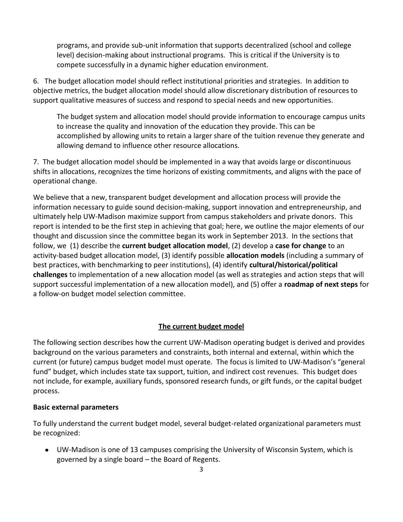programs, and provide sub-unit information that supports decentralized (school and college level) decision-making about instructional programs. This is critical if the University is to compete successfully in a dynamic higher education environment.

6. The budget allocation model should reflect institutional priorities and strategies. In addition to objective metrics, the budget allocation model should allow discretionary distribution of resources to support qualitative measures of success and respond to special needs and new opportunities.

The budget system and allocation model should provide information to encourage campus units to increase the quality and innovation of the education they provide. This can be accomplished by allowing units to retain a larger share of the tuition revenue they generate and allowing demand to influence other resource allocations.

7. The budget allocation model should be implemented in a way that avoids large or discontinuous shifts in allocations, recognizes the time horizons of existing commitments, and aligns with the pace of operational change.

We believe that a new, transparent budget development and allocation process will provide the information necessary to guide sound decision-making, support innovation and entrepreneurship, and ultimately help UW-Madison maximize support from campus stakeholders and private donors. This report is intended to be the first step in achieving that goal; here, we outline the major elements of our thought and discussion since the committee began its work in September 2013. In the sections that follow, we (1) describe the **current budget allocation model**, (2) develop a **case for change** to an activity-based budget allocation model, (3) identify possible **allocation models** (including a summary of best practices, with benchmarking to peer institutions), (4) identify **cultural/historical/political challenges** to implementation of a new allocation model (as well as strategies and action steps that will support successful implementation of a new allocation model), and (5) offer a **roadmap of next steps** for a follow-on budget model selection committee.

#### **The current budget model**

The following section describes how the current UW-Madison operating budget is derived and provides background on the various parameters and constraints, both internal and external, within which the current (or future) campus budget model must operate. The focus is limited to UW-Madison's "general fund" budget, which includes state tax support, tuition, and indirect cost revenues. This budget does not include, for example, auxiliary funds, sponsored research funds, or gift funds, or the capital budget process.

#### **Basic external parameters**

To fully understand the current budget model, several budget-related organizational parameters must be recognized:

UW-Madison is one of 13 campuses comprising the University of Wisconsin System, which is governed by a single board – the Board of Regents.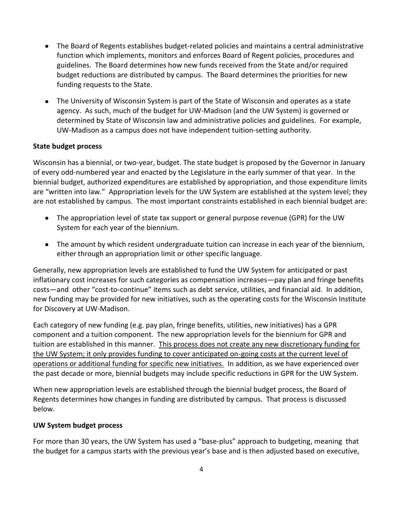- The Board of Regents establishes budget-related policies and maintains a central administrative function which implements, monitors and enforces Board of Regent policies, procedures and guidelines. The Board determines how new funds received from the State and/or required budget reductions are distributed by campus. The Board determines the priorities for new funding requests to the State.
- The University of Wisconsin System is part of the State of Wisconsin and operates as a state agency. As such, much of the budget for UW-Madison (and the UW System) is governed or determined by State of Wisconsin law and administrative policies and guidelines. For example, UW-Madison as a campus does not have independent tuition-setting authority.

#### **State budget process**

Wisconsin has a biennial, or two-year, budget. The state budget is proposed by the Governor in January of every odd-numbered year and enacted by the Legislature in the early summer of that year. In the biennial budget, authorized expenditures are established by appropriation, and those expenditure limits are "written into law." Appropriation levels for the UW System are established at the system level; they are not established by campus. The most important constraints established in each biennial budget are:

- The appropriation level of state tax support or general purpose revenue (GPR) for the UW System for each year of the biennium.
- The amount by which resident undergraduate tuition can increase in each year of the biennium, either through an appropriation limit or other specific language.

Generally, new appropriation levels are established to fund the UW System for anticipated or past inflationary cost increases for such categories as compensation increases—pay plan and fringe benefits costs—and other "cost-to-continue" items such as debt service, utilities, and financial aid. In addition, new funding may be provided for new initiatives, such as the operating costs for the Wisconsin Institute for Discovery at UW-Madison.

Each category of new funding (e.g. pay plan, fringe benefits, utilities, new initiatives) has a GPR component and a tuition component. The new appropriation levels for the biennium for GPR and tuition are established in this manner. This process does not create any new discretionary funding for the UW System; it only provides funding to cover anticipated on-going costs at the current level of operations or additional funding for specific new initiatives. In addition, as we have experienced over the past decade or more, biennial budgets may include specific reductions in GPR for the UW System.

When new appropriation levels are established through the biennial budget process, the Board of Regents determines how changes in funding are distributed by campus. That process is discussed below.

#### **UW System budget process**

For more than 30 years, the UW System has used a "base-plus" approach to budgeting, meaning that the budget for a campus starts with the previous year's base and is then adjusted based on executive,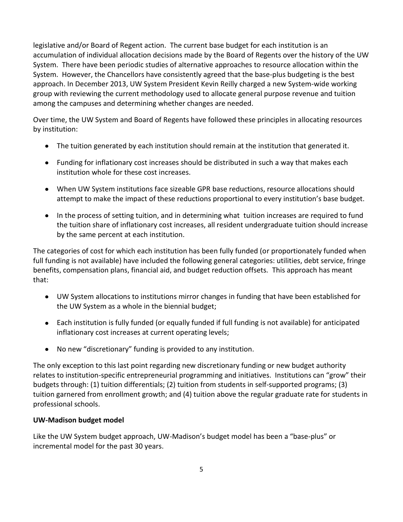legislative and/or Board of Regent action. The current base budget for each institution is an accumulation of individual allocation decisions made by the Board of Regents over the history of the UW System. There have been periodic studies of alternative approaches to resource allocation within the System. However, the Chancellors have consistently agreed that the base-plus budgeting is the best approach. In December 2013, UW System President Kevin Reilly charged a new System-wide working group with reviewing the current methodology used to allocate general purpose revenue and tuition among the campuses and determining whether changes are needed.

Over time, the UW System and Board of Regents have followed these principles in allocating resources by institution:

- The tuition generated by each institution should remain at the institution that generated it.
- Funding for inflationary cost increases should be distributed in such a way that makes each institution whole for these cost increases.
- When UW System institutions face sizeable GPR base reductions, resource allocations should attempt to make the impact of these reductions proportional to every institution's base budget.
- In the process of setting tuition, and in determining what tuition increases are required to fund the tuition share of inflationary cost increases, all resident undergraduate tuition should increase by the same percent at each institution.

The categories of cost for which each institution has been fully funded (or proportionately funded when full funding is not available) have included the following general categories: utilities, debt service, fringe benefits, compensation plans, financial aid, and budget reduction offsets. This approach has meant that:

- UW System allocations to institutions mirror changes in funding that have been established for the UW System as a whole in the biennial budget;
- Each institution is fully funded (or equally funded if full funding is not available) for anticipated inflationary cost increases at current operating levels;
- No new "discretionary" funding is provided to any institution.

The only exception to this last point regarding new discretionary funding or new budget authority relates to institution-specific entrepreneurial programming and initiatives. Institutions can "grow" their budgets through: (1) tuition differentials; (2) tuition from students in self-supported programs; (3) tuition garnered from enrollment growth; and (4) tuition above the regular graduate rate for students in professional schools.

# **UW-Madison budget model**

Like the UW System budget approach, UW-Madison's budget model has been a "base-plus" or incremental model for the past 30 years.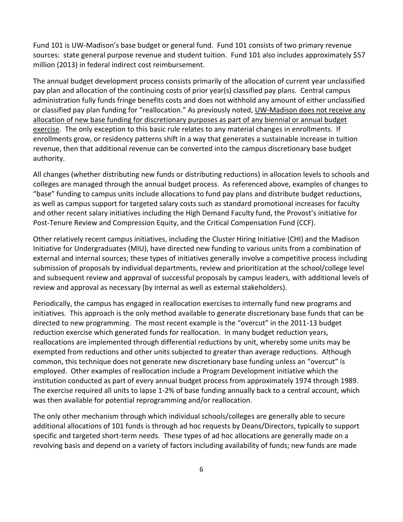Fund 101 is UW-Madison's base budget or general fund. Fund 101 consists of two primary revenue sources: state general purpose revenue and student tuition. Fund 101 also includes approximately \$57 million (2013) in federal indirect cost reimbursement.

The annual budget development process consists primarily of the allocation of current year unclassified pay plan and allocation of the continuing costs of prior year(s) classified pay plans. Central campus administration fully funds fringe benefits costs and does not withhold any amount of either unclassified or classified pay plan funding for "reallocation." As previously noted, UW-Madison does not receive any allocation of new base funding for discretionary purposes as part of any biennial or annual budget exercise. The only exception to this basic rule relates to any material changes in enrollments. If enrollments grow, or residency patterns shift in a way that generates a sustainable increase in tuition revenue, then that additional revenue can be converted into the campus discretionary base budget authority.

All changes (whether distributing new funds or distributing reductions) in allocation levels to schools and colleges are managed through the annual budget process. As referenced above, examples of changes to "base" funding to campus units include allocations to fund pay plans and distribute budget reductions, as well as campus support for targeted salary costs such as standard promotional increases for faculty and other recent salary initiatives including the High Demand Faculty fund, the Provost's initiative for Post-Tenure Review and Compression Equity, and the Critical Compensation Fund (CCF).

Other relatively recent campus initiatives, including the Cluster Hiring Initiative (CHI) and the Madison Initiative for Undergraduates (MIU), have directed new funding to various units from a combination of external and internal sources; these types of initiatives generally involve a competitive process including submission of proposals by individual departments, review and prioritization at the school/college level and subsequent review and approval of successful proposals by campus leaders, with additional levels of review and approval as necessary (by internal as well as external stakeholders).

Periodically, the campus has engaged in reallocation exercises to internally fund new programs and initiatives. This approach is the only method available to generate discretionary base funds that can be directed to new programming. The most recent example is the "overcut" in the 2011-13 budget reduction exercise which generated funds for reallocation. In many budget reduction years, reallocations are implemented through differential reductions by unit, whereby some units may be exempted from reductions and other units subjected to greater than average reductions. Although common, this technique does not generate new discretionary base funding unless an "overcut" is employed. Other examples of reallocation include a Program Development initiative which the institution conducted as part of every annual budget process from approximately 1974 through 1989. The exercise required all units to lapse 1-2% of base funding annually back to a central account, which was then available for potential reprogramming and/or reallocation.

The only other mechanism through which individual schools/colleges are generally able to secure additional allocations of 101 funds is through ad hoc requests by Deans/Directors, typically to support specific and targeted short-term needs. These types of ad hoc allocations are generally made on a revolving basis and depend on a variety of factors including availability of funds; new funds are made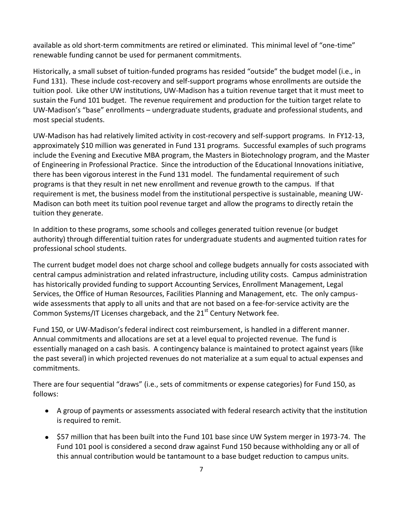available as old short-term commitments are retired or eliminated. This minimal level of "one-time" renewable funding cannot be used for permanent commitments.

Historically, a small subset of tuition-funded programs has resided "outside" the budget model (i.e., in Fund 131). These include cost-recovery and self-support programs whose enrollments are outside the tuition pool. Like other UW institutions, UW-Madison has a tuition revenue target that it must meet to sustain the Fund 101 budget. The revenue requirement and production for the tuition target relate to UW-Madison's "base" enrollments – undergraduate students, graduate and professional students, and most special students.

UW-Madison has had relatively limited activity in cost-recovery and self-support programs. In FY12-13, approximately \$10 million was generated in Fund 131 programs. Successful examples of such programs include the Evening and Executive MBA program, the Masters in Biotechnology program, and the Master of Engineering in Professional Practice. Since the introduction of the Educational Innovations initiative, there has been vigorous interest in the Fund 131 model. The fundamental requirement of such programs is that they result in net new enrollment and revenue growth to the campus. If that requirement is met, the business model from the institutional perspective is sustainable, meaning UW-Madison can both meet its tuition pool revenue target and allow the programs to directly retain the tuition they generate.

In addition to these programs, some schools and colleges generated tuition revenue (or budget authority) through differential tuition rates for undergraduate students and augmented tuition rates for professional school students.

The current budget model does not charge school and college budgets annually for costs associated with central campus administration and related infrastructure, including utility costs. Campus administration has historically provided funding to support Accounting Services, Enrollment Management, Legal Services, the Office of Human Resources, Facilities Planning and Management, etc. The only campuswide assessments that apply to all units and that are not based on a fee-for-service activity are the Common Systems/IT Licenses chargeback, and the  $21<sup>st</sup>$  Century Network fee.

Fund 150, or UW-Madison's federal indirect cost reimbursement, is handled in a different manner. Annual commitments and allocations are set at a level equal to projected revenue. The fund is essentially managed on a cash basis. A contingency balance is maintained to protect against years (like the past several) in which projected revenues do not materialize at a sum equal to actual expenses and commitments.

There are four sequential "draws" (i.e., sets of commitments or expense categories) for Fund 150, as follows:

- A group of payments or assessments associated with federal research activity that the institution is required to remit.
- \$57 million that has been built into the Fund 101 base since UW System merger in 1973-74. The Fund 101 pool is considered a second draw against Fund 150 because withholding any or all of this annual contribution would be tantamount to a base budget reduction to campus units.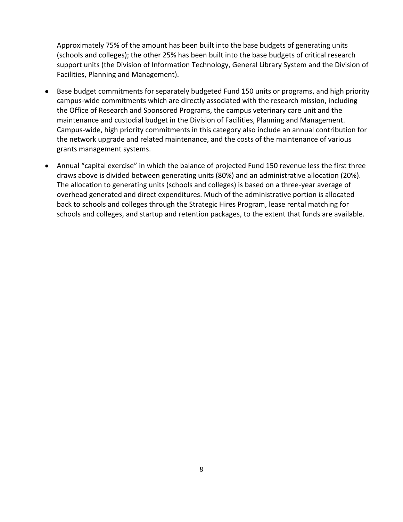Approximately 75% of the amount has been built into the base budgets of generating units (schools and colleges); the other 25% has been built into the base budgets of critical research support units (the Division of Information Technology, General Library System and the Division of Facilities, Planning and Management).

- Base budget commitments for separately budgeted Fund 150 units or programs, and high priority campus-wide commitments which are directly associated with the research mission, including the Office of Research and Sponsored Programs, the campus veterinary care unit and the maintenance and custodial budget in the Division of Facilities, Planning and Management. Campus-wide, high priority commitments in this category also include an annual contribution for the network upgrade and related maintenance, and the costs of the maintenance of various grants management systems.
- Annual "capital exercise" in which the balance of projected Fund 150 revenue less the first three draws above is divided between generating units (80%) and an administrative allocation (20%). The allocation to generating units (schools and colleges) is based on a three-year average of overhead generated and direct expenditures. Much of the administrative portion is allocated back to schools and colleges through the Strategic Hires Program, lease rental matching for schools and colleges, and startup and retention packages, to the extent that funds are available.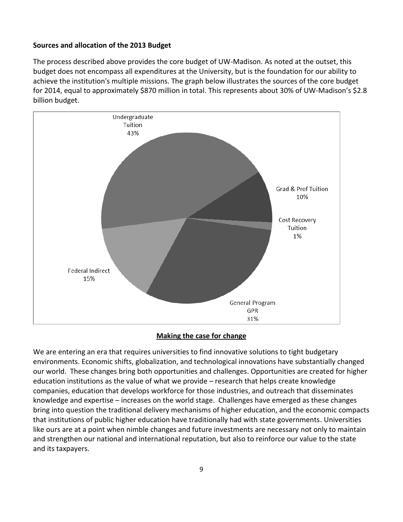#### **Sources and allocation of the 2013 Budget**

The process described above provides the core budget of UW-Madison. As noted at the outset, this budget does not encompass all expenditures at the University, but is the foundation for our ability to achieve the institution's multiple missions. The graph below illustrates the sources of the core budget for 2014, equal to approximately \$870 million in total. This represents about 30% of UW-Madison's \$2.8 billion budget.



#### **Making the case for change**

We are entering an era that requires universities to find innovative solutions to tight budgetary environments. Economic shifts, globalization, and technological innovations have substantially changed our world. These changes bring both opportunities and challenges. Opportunities are created for higher education institutions as the value of what we provide – research that helps create knowledge companies, education that develops workforce for those industries, and outreach that disseminates knowledge and expertise – increases on the world stage. Challenges have emerged as these changes bring into question the traditional delivery mechanisms of higher education, and the economic compacts that institutions of public higher education have traditionally had with state governments. Universities like ours are at a point when nimble changes and future investments are necessary not only to maintain and strengthen our national and international reputation, but also to reinforce our value to the state and its taxpayers.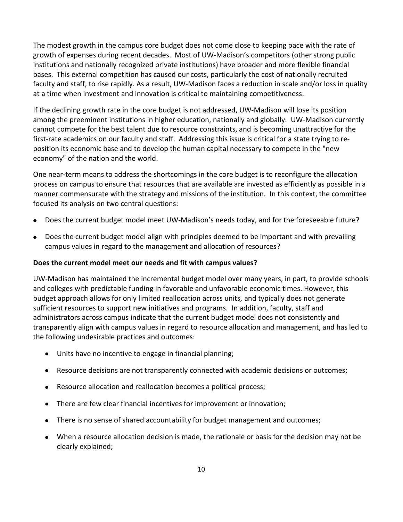The modest growth in the campus core budget does not come close to keeping pace with the rate of growth of expenses during recent decades. Most of UW-Madison's competitors (other strong public institutions and nationally recognized private institutions) have broader and more flexible financial bases. This external competition has caused our costs, particularly the cost of nationally recruited faculty and staff, to rise rapidly. As a result, UW-Madison faces a reduction in scale and/or loss in quality at a time when investment and innovation is critical to maintaining competitiveness.

If the declining growth rate in the core budget is not addressed, UW-Madison will lose its position among the preeminent institutions in higher education, nationally and globally. UW-Madison currently cannot compete for the best talent due to resource constraints, and is becoming unattractive for the first-rate academics on our faculty and staff. Addressing this issue is critical for a state trying to reposition its economic base and to develop the human capital necessary to compete in the "new economy" of the nation and the world.

One near-term means to address the shortcomings in the core budget is to reconfigure the allocation process on campus to ensure that resources that are available are invested as efficiently as possible in a manner commensurate with the strategy and missions of the institution. In this context, the committee focused its analysis on two central questions:

- Does the current budget model meet UW-Madison's needs today, and for the foreseeable future?
- Does the current budget model align with principles deemed to be important and with prevailing campus values in regard to the management and allocation of resources?

#### **Does the current model meet our needs and fit with campus values?**

UW-Madison has maintained the incremental budget model over many years, in part, to provide schools and colleges with predictable funding in favorable and unfavorable economic times. However, this budget approach allows for only limited reallocation across units, and typically does not generate sufficient resources to support new initiatives and programs. In addition, faculty, staff and administrators across campus indicate that the current budget model does not consistently and transparently align with campus values in regard to resource allocation and management, and has led to the following undesirable practices and outcomes:

- Units have no incentive to engage in financial planning;
- Resource decisions are not transparently connected with academic decisions or outcomes;
- Resource allocation and reallocation becomes a political process;
- There are few clear financial incentives for improvement or innovation;
- There is no sense of shared accountability for budget management and outcomes;
- When a resource allocation decision is made, the rationale or basis for the decision may not be clearly explained;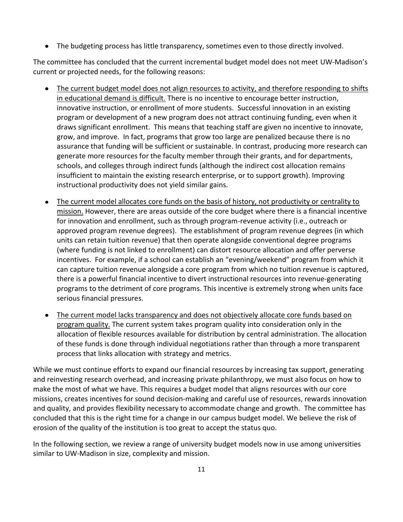$\bullet$ The budgeting process has little transparency, sometimes even to those directly involved.

The committee has concluded that the current incremental budget model does not meet UW-Madison's current or projected needs, for the following reasons:

- The current budget model does not align resources to activity, and therefore responding to shifts  $\bullet$ in educational demand is difficult. There is no incentive to encourage better instruction, innovative instruction, or enrollment of more students. Successful innovation in an existing program or development of a new program does not attract continuing funding, even when it draws significant enrollment. This means that teaching staff are given no incentive to innovate, grow, and improve. In fact, programs that grow too large are penalized because there is no assurance that funding will be sufficient or sustainable. In contrast, producing more research can generate more resources for the faculty member through their grants, and for departments, schools, and colleges through indirect funds (although the indirect cost allocation remains insufficient to maintain the existing research enterprise, or to support growth). Improving instructional productivity does not yield similar gains.
- The current model allocates core funds on the basis of history, not productivity or centrality to mission. However, there are areas outside of the core budget where there is a financial incentive for innovation and enrollment, such as through program-revenue activity (i.e., outreach or approved program revenue degrees). The establishment of program revenue degrees (in which units can retain tuition revenue) that then operate alongside conventional degree programs (where funding is not linked to enrollment) can distort resource allocation and offer perverse incentives. For example, if a school can establish an "evening/weekend" program from which it can capture tuition revenue alongside a core program from which no tuition revenue is captured, there is a powerful financial incentive to divert instructional resources into revenue-generating programs to the detriment of core programs. This incentive is extremely strong when units face serious financial pressures.
- The current model lacks transparency and does not objectively allocate core funds based on program quality. The current system takes program quality into consideration only in the allocation of flexible resources available for distribution by central administration. The allocation of these funds is done through individual negotiations rather than through a more transparent process that links allocation with strategy and metrics.

While we must continue efforts to expand our financial resources by increasing tax support, generating and reinvesting research overhead, and increasing private philanthropy, we must also focus on how to make the most of what we have. This requires a budget model that aligns resources with our core missions, creates incentives for sound decision-making and careful use of resources, rewards innovation and quality, and provides flexibility necessary to accommodate change and growth. The committee has concluded that this is the right time for a change in our campus budget model. We believe the risk of erosion of the quality of the institution is too great to accept the status quo.

In the following section, we review a range of university budget models now in use among universities similar to UW-Madison in size, complexity and mission.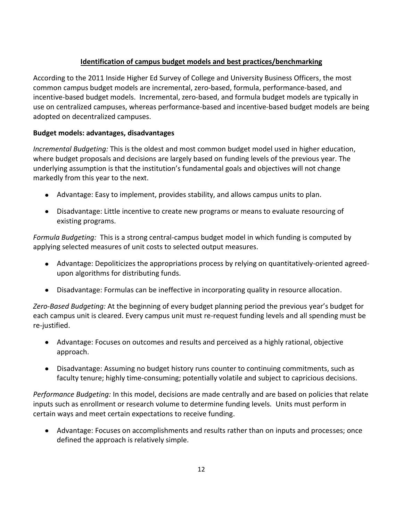# **Identification of campus budget models and best practices/benchmarking**

According to the 2011 Inside Higher Ed Survey of College and University Business Officers, the most common campus budget models are incremental, zero-based, formula, performance-based, and incentive-based budget models. Incremental, zero-based, and formula budget models are typically in use on centralized campuses, whereas performance-based and incentive-based budget models are being adopted on decentralized campuses.

# **Budget models: advantages, disadvantages**

*Incremental Budgeting:* This is the oldest and most common budget model used in higher education, where budget proposals and decisions are largely based on funding levels of the previous year. The underlying assumption is that the institution's fundamental goals and objectives will not change markedly from this year to the next.

- Advantage: Easy to implement, provides stability, and allows campus units to plan.
- Disadvantage: Little incentive to create new programs or means to evaluate resourcing of existing programs.

*Formula Budgeting:* This is a strong central-campus budget model in which funding is computed by applying selected measures of unit costs to selected output measures.

- Advantage: Depoliticizes the appropriations process by relying on quantitatively-oriented agreedupon algorithms for distributing funds.
- Disadvantage: Formulas can be ineffective in incorporating quality in resource allocation.  $\bullet$

*Zero-Based Budgeting:* At the beginning of every budget planning period the previous year's budget for each campus unit is cleared. Every campus unit must re-request funding levels and all spending must be re-justified.

- Advantage: Focuses on outcomes and results and perceived as a highly rational, objective approach.
- Disadvantage: Assuming no budget history runs counter to continuing commitments, such as faculty tenure; highly time-consuming; potentially volatile and subject to capricious decisions.

*Performance Budgeting:* In this model, decisions are made centrally and are based on policies that relate inputs such as enrollment or research volume to determine funding levels. Units must perform in certain ways and meet certain expectations to receive funding.

Advantage: Focuses on accomplishments and results rather than on inputs and processes; once defined the approach is relatively simple.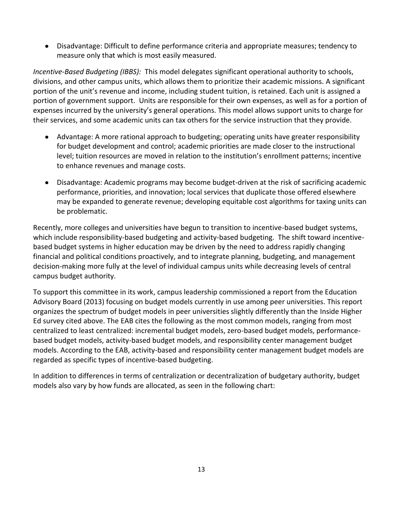Disadvantage: Difficult to define performance criteria and appropriate measures; tendency to measure only that which is most easily measured.

*Incentive-Based Budgeting (IBBS):* This model delegates significant operational authority to schools, divisions, and other campus units, which allows them to prioritize their academic missions. A significant portion of the unit's revenue and income, including student tuition, is retained. Each unit is assigned a portion of government support. Units are responsible for their own expenses, as well as for a portion of expenses incurred by the university's general operations. This model allows support units to charge for their services, and some academic units can tax others for the service instruction that they provide.

- Advantage: A more rational approach to budgeting; operating units have greater responsibility for budget development and control; academic priorities are made closer to the instructional level; tuition resources are moved in relation to the institution's enrollment patterns; incentive to enhance revenues and manage costs.
- Disadvantage: Academic programs may become budget-driven at the risk of sacrificing academic  $\bullet$ performance, priorities, and innovation; local services that duplicate those offered elsewhere may be expanded to generate revenue; developing equitable cost algorithms for taxing units can be problematic.

Recently, more colleges and universities have begun to transition to incentive-based budget systems, which include responsibility-based budgeting and activity-based budgeting. The shift toward incentivebased budget systems in higher education may be driven by the need to address rapidly changing financial and political conditions proactively, and to integrate planning, budgeting, and management decision-making more fully at the level of individual campus units while decreasing levels of central campus budget authority.

To support this committee in its work, campus leadership commissioned a report from the Education Advisory Board (2013) focusing on budget models currently in use among peer universities. This report organizes the spectrum of budget models in peer universities slightly differently than the Inside Higher Ed survey cited above. The EAB cites the following as the most common models, ranging from most centralized to least centralized: incremental budget models, zero-based budget models, performancebased budget models, activity-based budget models, and responsibility center management budget models. According to the EAB, activity-based and responsibility center management budget models are regarded as specific types of incentive-based budgeting.

In addition to differences in terms of centralization or decentralization of budgetary authority, budget models also vary by how funds are allocated, as seen in the following chart: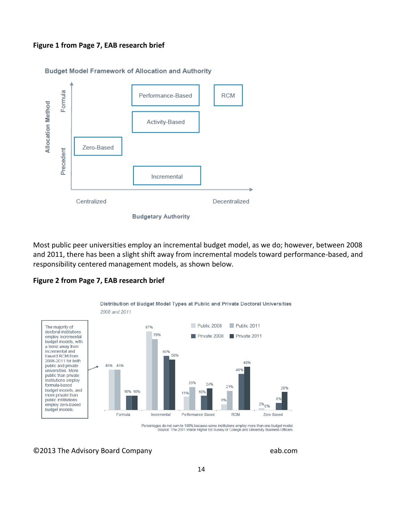#### **Figure 1 from Page 7, EAB research brief**



Most public peer universities employ an incremental budget model, as we do; however, between 2008 and 2011, there has been a slight shift away from incremental models toward performance-based, and responsibility centered management models, as shown below.



#### **Figure 2 from Page 7, EAB research brief**

Percentages do not sum to 100% because some institutions employ more than one budget model.<br>Source: The 2011 Inside Higher Ed Survey of College and University Business Officers.

©2013 The Advisory Board Company eab.com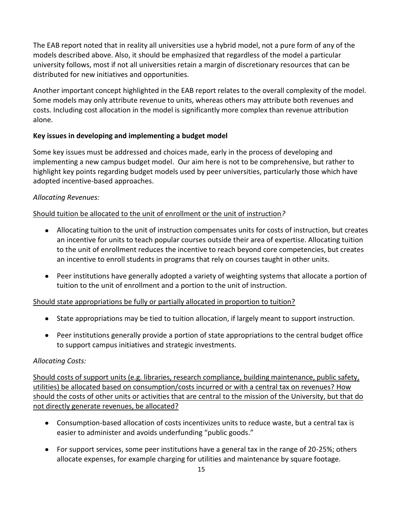The EAB report noted that in reality all universities use a hybrid model, not a pure form of any of the models described above. Also, it should be emphasized that regardless of the model a particular university follows, most if not all universities retain a margin of discretionary resources that can be distributed for new initiatives and opportunities.

Another important concept highlighted in the EAB report relates to the overall complexity of the model. Some models may only attribute revenue to units, whereas others may attribute both revenues and costs. Including cost allocation in the model is significantly more complex than revenue attribution alone.

# **Key issues in developing and implementing a budget model**

Some key issues must be addressed and choices made, early in the process of developing and implementing a new campus budget model. Our aim here is not to be comprehensive, but rather to highlight key points regarding budget models used by peer universities, particularly those which have adopted incentive-based approaches.

# *Allocating Revenues:*

# Should tuition be allocated to the unit of enrollment or the unit of instruction*?*

- Allocating tuition to the unit of instruction compensates units for costs of instruction, but creates an incentive for units to teach popular courses outside their area of expertise. Allocating tuition to the unit of enrollment reduces the incentive to reach beyond core competencies, but creates an incentive to enroll students in programs that rely on courses taught in other units.
- Peer institutions have generally adopted a variety of weighting systems that allocate a portion of tuition to the unit of enrollment and a portion to the unit of instruction.

# Should state appropriations be fully or partially allocated in proportion to tuition?

- State appropriations may be tied to tuition allocation, if largely meant to support instruction.
- Peer institutions generally provide a portion of state appropriations to the central budget office to support campus initiatives and strategic investments.

# *Allocating Costs:*

Should costs of support units (e.g. libraries, research compliance, building maintenance, public safety, utilities) be allocated based on consumption/costs incurred or with a central tax on revenues? How should the costs of other units or activities that are central to the mission of the University, but that do not directly generate revenues, be allocated?

- Consumption-based allocation of costs incentivizes units to reduce waste, but a central tax is easier to administer and avoids underfunding "public goods."
- For support services, some peer institutions have a general tax in the range of 20-25%; others allocate expenses, for example charging for utilities and maintenance by square footage.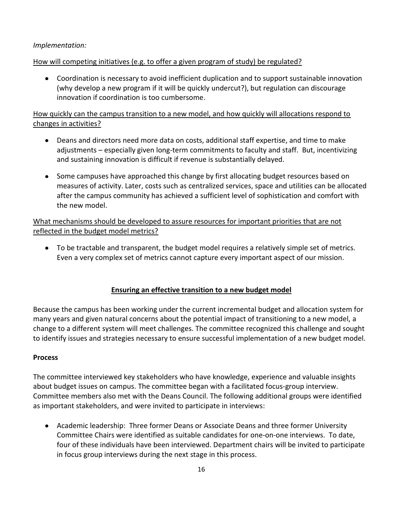# *Implementation:*

## How will competing initiatives (e.g. to offer a given program of study) be regulated?

Coordination is necessary to avoid inefficient duplication and to support sustainable innovation (why develop a new program if it will be quickly undercut?), but regulation can discourage innovation if coordination is too cumbersome.

# How quickly can the campus transition to a new model, and how quickly will allocations respond to changes in activities?

- Deans and directors need more data on costs, additional staff expertise, and time to make adjustments – especially given long-term commitments to faculty and staff. But, incentivizing and sustaining innovation is difficult if revenue is substantially delayed.
- Some campuses have approached this change by first allocating budget resources based on measures of activity. Later, costs such as centralized services, space and utilities can be allocated after the campus community has achieved a sufficient level of sophistication and comfort with the new model.

# What mechanisms should be developed to assure resources for important priorities that are not reflected in the budget model metrics?

To be tractable and transparent, the budget model requires a relatively simple set of metrics. Even a very complex set of metrics cannot capture every important aspect of our mission.

# **Ensuring an effective transition to a new budget model**

Because the campus has been working under the current incremental budget and allocation system for many years and given natural concerns about the potential impact of transitioning to a new model, a change to a different system will meet challenges. The committee recognized this challenge and sought to identify issues and strategies necessary to ensure successful implementation of a new budget model.

#### **Process**

The committee interviewed key stakeholders who have knowledge, experience and valuable insights about budget issues on campus. The committee began with a facilitated focus-group interview. Committee members also met with the Deans Council. The following additional groups were identified as important stakeholders, and were invited to participate in interviews:

Academic leadership: Three former Deans or Associate Deans and three former University Committee Chairs were identified as suitable candidates for one-on-one interviews. To date, four of these individuals have been interviewed. Department chairs will be invited to participate in focus group interviews during the next stage in this process.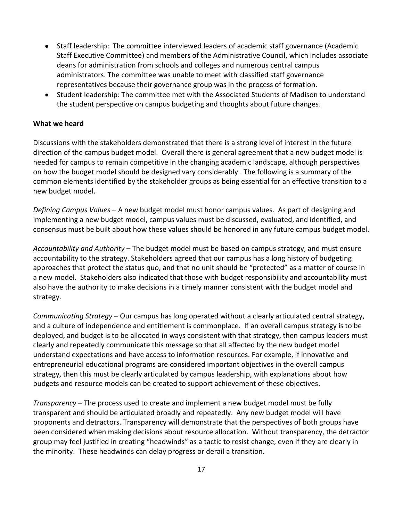- Staff leadership: The committee interviewed leaders of academic staff governance (Academic Staff Executive Committee) and members of the Administrative Council, which includes associate deans for administration from schools and colleges and numerous central campus administrators. The committee was unable to meet with classified staff governance representatives because their governance group was in the process of formation.
- Student leadership: The committee met with the Associated Students of Madison to understand the student perspective on campus budgeting and thoughts about future changes.

#### **What we heard**

Discussions with the stakeholders demonstrated that there is a strong level of interest in the future direction of the campus budget model. Overall there is general agreement that a new budget model is needed for campus to remain competitive in the changing academic landscape, although perspectives on how the budget model should be designed vary considerably. The following is a summary of the common elements identified by the stakeholder groups as being essential for an effective transition to a new budget model.

*Defining Campus Values* – A new budget model must honor campus values. As part of designing and implementing a new budget model, campus values must be discussed, evaluated, and identified, and consensus must be built about how these values should be honored in any future campus budget model.

*Accountability and Authority* – The budget model must be based on campus strategy, and must ensure accountability to the strategy. Stakeholders agreed that our campus has a long history of budgeting approaches that protect the status quo, and that no unit should be "protected" as a matter of course in a new model. Stakeholders also indicated that those with budget responsibility and accountability must also have the authority to make decisions in a timely manner consistent with the budget model and strategy.

*Communicating Strategy* – Our campus has long operated without a clearly articulated central strategy, and a culture of independence and entitlement is commonplace. If an overall campus strategy is to be deployed, and budget is to be allocated in ways consistent with that strategy, then campus leaders must clearly and repeatedly communicate this message so that all affected by the new budget model understand expectations and have access to information resources. For example, if innovative and entrepreneurial educational programs are considered important objectives in the overall campus strategy, then this must be clearly articulated by campus leadership, with explanations about how budgets and resource models can be created to support achievement of these objectives.

*Transparency* – The process used to create and implement a new budget model must be fully transparent and should be articulated broadly and repeatedly. Any new budget model will have proponents and detractors. Transparency will demonstrate that the perspectives of both groups have been considered when making decisions about resource allocation. Without transparency, the detractor group may feel justified in creating "headwinds" as a tactic to resist change, even if they are clearly in the minority. These headwinds can delay progress or derail a transition.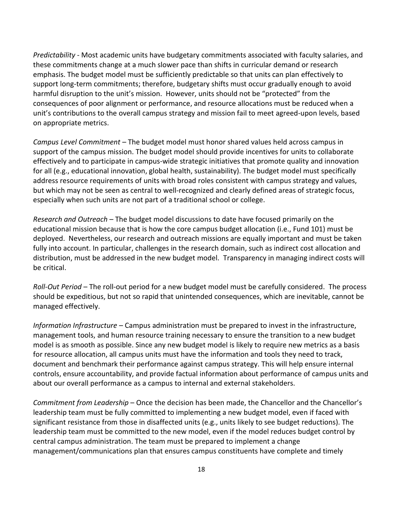*Predictability* - Most academic units have budgetary commitments associated with faculty salaries, and these commitments change at a much slower pace than shifts in curricular demand or research emphasis. The budget model must be sufficiently predictable so that units can plan effectively to support long-term commitments; therefore, budgetary shifts must occur gradually enough to avoid harmful disruption to the unit's mission. However, units should not be "protected" from the consequences of poor alignment or performance, and resource allocations must be reduced when a unit's contributions to the overall campus strategy and mission fail to meet agreed-upon levels, based on appropriate metrics.

*Campus Level Commitment –* The budget model must honor shared values held across campus in support of the campus mission. The budget model should provide incentives for units to collaborate effectively and to participate in campus-wide strategic initiatives that promote quality and innovation for all (e.g., educational innovation, global health, sustainability). The budget model must specifically address resource requirements of units with broad roles consistent with campus strategy and values, but which may not be seen as central to well-recognized and clearly defined areas of strategic focus, especially when such units are not part of a traditional school or college.

*Research and Outreach* – The budget model discussions to date have focused primarily on the educational mission because that is how the core campus budget allocation (i.e., Fund 101) must be deployed. Nevertheless, our research and outreach missions are equally important and must be taken fully into account. In particular, challenges in the research domain, such as indirect cost allocation and distribution, must be addressed in the new budget model. Transparency in managing indirect costs will be critical.

*Roll-Out Period* – The roll-out period for a new budget model must be carefully considered. The process should be expeditious, but not so rapid that unintended consequences, which are inevitable, cannot be managed effectively.

*Information Infrastructure* – Campus administration must be prepared to invest in the infrastructure, management tools, and human resource training necessary to ensure the transition to a new budget model is as smooth as possible. Since any new budget model is likely to require new metrics as a basis for resource allocation, all campus units must have the information and tools they need to track, document and benchmark their performance against campus strategy. This will help ensure internal controls, ensure accountability, and provide factual information about performance of campus units and about our overall performance as a campus to internal and external stakeholders.

*Commitment from Leadership* – Once the decision has been made, the Chancellor and the Chancellor's leadership team must be fully committed to implementing a new budget model, even if faced with significant resistance from those in disaffected units (e.g., units likely to see budget reductions). The leadership team must be committed to the new model, even if the model reduces budget control by central campus administration. The team must be prepared to implement a change management/communications plan that ensures campus constituents have complete and timely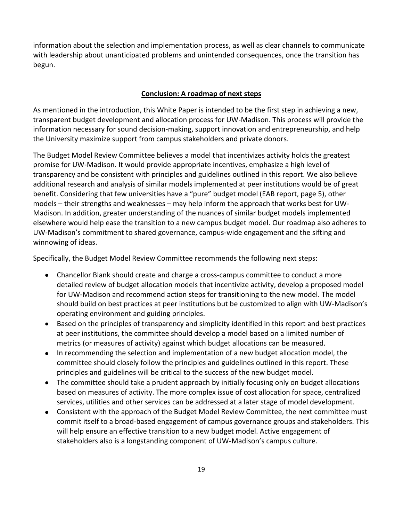information about the selection and implementation process, as well as clear channels to communicate with leadership about unanticipated problems and unintended consequences, once the transition has begun.

#### **Conclusion: A roadmap of next steps**

As mentioned in the introduction, this White Paper is intended to be the first step in achieving a new, transparent budget development and allocation process for UW-Madison. This process will provide the information necessary for sound decision-making, support innovation and entrepreneurship, and help the University maximize support from campus stakeholders and private donors.

The Budget Model Review Committee believes a model that incentivizes activity holds the greatest promise for UW-Madison. It would provide appropriate incentives, emphasize a high level of transparency and be consistent with principles and guidelines outlined in this report. We also believe additional research and analysis of similar models implemented at peer institutions would be of great benefit. Considering that few universities have a "pure" budget model (EAB report, page 5), other models – their strengths and weaknesses – may help inform the approach that works best for UW-Madison. In addition, greater understanding of the nuances of similar budget models implemented elsewhere would help ease the transition to a new campus budget model. Our roadmap also adheres to UW-Madison's commitment to shared governance, campus-wide engagement and the sifting and winnowing of ideas.

Specifically, the Budget Model Review Committee recommends the following next steps:

- Chancellor Blank should create and charge a cross-campus committee to conduct a more detailed review of budget allocation models that incentivize activity, develop a proposed model for UW-Madison and recommend action steps for transitioning to the new model. The model should build on best practices at peer institutions but be customized to align with UW-Madison's operating environment and guiding principles.
- Based on the principles of transparency and simplicity identified in this report and best practices at peer institutions, the committee should develop a model based on a limited number of metrics (or measures of activity) against which budget allocations can be measured.
- In recommending the selection and implementation of a new budget allocation model, the  $\bullet$ committee should closely follow the principles and guidelines outlined in this report. These principles and guidelines will be critical to the success of the new budget model.
- The committee should take a prudent approach by initially focusing only on budget allocations based on measures of activity. The more complex issue of cost allocation for space, centralized services, utilities and other services can be addressed at a later stage of model development.
- Consistent with the approach of the Budget Model Review Committee, the next committee must commit itself to a broad-based engagement of campus governance groups and stakeholders. This will help ensure an effective transition to a new budget model. Active engagement of stakeholders also is a longstanding component of UW-Madison's campus culture.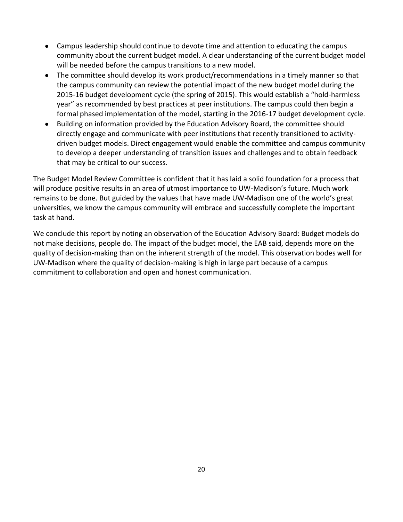- Campus leadership should continue to devote time and attention to educating the campus community about the current budget model. A clear understanding of the current budget model will be needed before the campus transitions to a new model.
- The committee should develop its work product/recommendations in a timely manner so that the campus community can review the potential impact of the new budget model during the 2015-16 budget development cycle (the spring of 2015). This would establish a "hold-harmless year" as recommended by best practices at peer institutions. The campus could then begin a formal phased implementation of the model, starting in the 2016-17 budget development cycle.
- Building on information provided by the Education Advisory Board, the committee should directly engage and communicate with peer institutions that recently transitioned to activitydriven budget models. Direct engagement would enable the committee and campus community to develop a deeper understanding of transition issues and challenges and to obtain feedback that may be critical to our success.

The Budget Model Review Committee is confident that it has laid a solid foundation for a process that will produce positive results in an area of utmost importance to UW-Madison's future. Much work remains to be done. But guided by the values that have made UW-Madison one of the world's great universities, we know the campus community will embrace and successfully complete the important task at hand.

We conclude this report by noting an observation of the Education Advisory Board: Budget models do not make decisions, people do. The impact of the budget model, the EAB said, depends more on the quality of decision-making than on the inherent strength of the model. This observation bodes well for UW-Madison where the quality of decision-making is high in large part because of a campus commitment to collaboration and open and honest communication.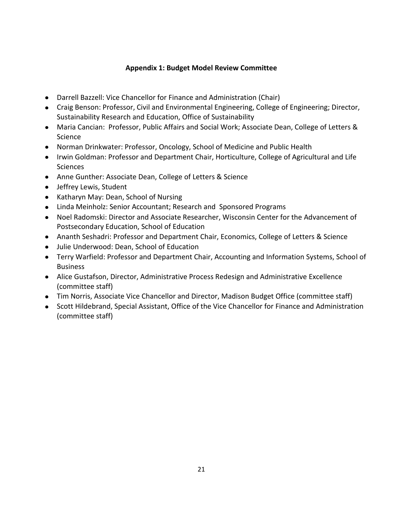## **Appendix 1: Budget Model Review Committee**

- Darrell Bazzell: Vice Chancellor for Finance and Administration (Chair)
- Craig Benson: Professor, Civil and Environmental Engineering, College of Engineering; Director, Sustainability Research and Education, Office of Sustainability
- Maria Cancian: Professor, Public Affairs and Social Work; Associate Dean, College of Letters & Science
- Norman Drinkwater: Professor, Oncology, School of Medicine and Public Health
- Irwin Goldman: Professor and Department Chair, Horticulture, College of Agricultural and Life **Sciences**
- Anne Gunther: Associate Dean, College of Letters & Science
- Jeffrey Lewis, Student
- Katharyn May: Dean, School of Nursing
- Linda Meinholz: Senior Accountant; Research and Sponsored Programs
- Noel Radomski: Director and Associate Researcher, Wisconsin Center for the Advancement of Postsecondary Education, School of Education
- Ananth Seshadri: Professor and Department Chair, Economics, College of Letters & Science
- Julie Underwood: Dean, School of Education
- Terry Warfield: Professor and Department Chair, Accounting and Information Systems, School of Business
- Alice Gustafson, Director, Administrative Process Redesign and Administrative Excellence (committee staff)
- Tim Norris, Associate Vice Chancellor and Director, Madison Budget Office (committee staff)
- Scott Hildebrand, Special Assistant, Office of the Vice Chancellor for Finance and Administration (committee staff)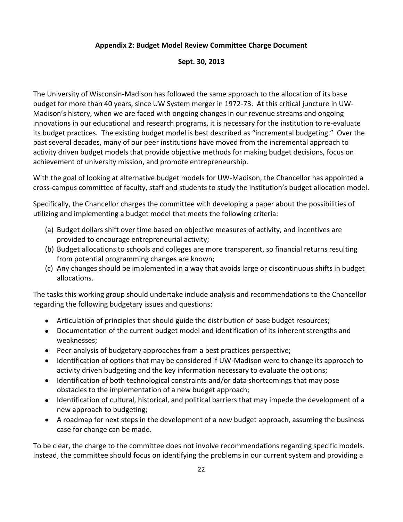### **Appendix 2: Budget Model Review Committee Charge Document**

#### **Sept. 30, 2013**

The University of Wisconsin-Madison has followed the same approach to the allocation of its base budget for more than 40 years, since UW System merger in 1972-73. At this critical juncture in UW-Madison's history, when we are faced with ongoing changes in our revenue streams and ongoing innovations in our educational and research programs, it is necessary for the institution to re-evaluate its budget practices. The existing budget model is best described as "incremental budgeting." Over the past several decades, many of our peer institutions have moved from the incremental approach to activity driven budget models that provide objective methods for making budget decisions, focus on achievement of university mission, and promote entrepreneurship.

With the goal of looking at alternative budget models for UW-Madison, the Chancellor has appointed a cross-campus committee of faculty, staff and students to study the institution's budget allocation model.

Specifically, the Chancellor charges the committee with developing a paper about the possibilities of utilizing and implementing a budget model that meets the following criteria:

- (a) Budget dollars shift over time based on objective measures of activity, and incentives are provided to encourage entrepreneurial activity;
- (b) Budget allocations to schools and colleges are more transparent, so financial returns resulting from potential programming changes are known;
- (c) Any changes should be implemented in a way that avoids large or discontinuous shifts in budget allocations.

The tasks this working group should undertake include analysis and recommendations to the Chancellor regarding the following budgetary issues and questions:

- Articulation of principles that should guide the distribution of base budget resources;
- Documentation of the current budget model and identification of its inherent strengths and weaknesses;
- Peer analysis of budgetary approaches from a best practices perspective;
- Identification of options that may be considered if UW-Madison were to change its approach to activity driven budgeting and the key information necessary to evaluate the options;
- Identification of both technological constraints and/or data shortcomings that may pose obstacles to the implementation of a new budget approach;
- Identification of cultural, historical, and political barriers that may impede the development of a new approach to budgeting;
- A roadmap for next steps in the development of a new budget approach, assuming the business case for change can be made.

To be clear, the charge to the committee does not involve recommendations regarding specific models. Instead, the committee should focus on identifying the problems in our current system and providing a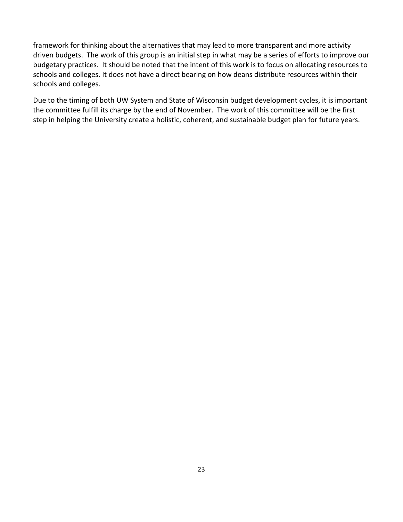framework for thinking about the alternatives that may lead to more transparent and more activity driven budgets. The work of this group is an initial step in what may be a series of efforts to improve our budgetary practices. It should be noted that the intent of this work is to focus on allocating resources to schools and colleges. It does not have a direct bearing on how deans distribute resources within their schools and colleges.

Due to the timing of both UW System and State of Wisconsin budget development cycles, it is important the committee fulfill its charge by the end of November. The work of this committee will be the first step in helping the University create a holistic, coherent, and sustainable budget plan for future years.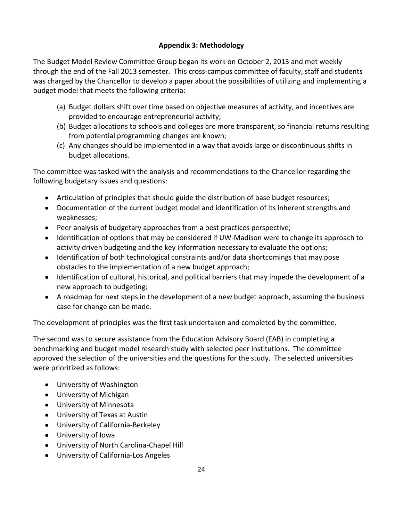# **Appendix 3: Methodology**

The Budget Model Review Committee Group began its work on October 2, 2013 and met weekly through the end of the Fall 2013 semester. This cross-campus committee of faculty, staff and students was charged by the Chancellor to develop a paper about the possibilities of utilizing and implementing a budget model that meets the following criteria:

- (a) Budget dollars shift over time based on objective measures of activity, and incentives are provided to encourage entrepreneurial activity;
- (b) Budget allocations to schools and colleges are more transparent, so financial returns resulting from potential programming changes are known;
- (c) Any changes should be implemented in a way that avoids large or discontinuous shifts in budget allocations.

The committee was tasked with the analysis and recommendations to the Chancellor regarding the following budgetary issues and questions:

- Articulation of principles that should guide the distribution of base budget resources;
- Documentation of the current budget model and identification of its inherent strengths and weaknesses;
- Peer analysis of budgetary approaches from a best practices perspective;
- Identification of options that may be considered if UW-Madison were to change its approach to activity driven budgeting and the key information necessary to evaluate the options;
- Identification of both technological constraints and/or data shortcomings that may pose obstacles to the implementation of a new budget approach;
- Identification of cultural, historical, and political barriers that may impede the development of a new approach to budgeting;
- A roadmap for next steps in the development of a new budget approach, assuming the business case for change can be made.

The development of principles was the first task undertaken and completed by the committee.

The second was to secure assistance from the Education Advisory Board (EAB) in completing a benchmarking and budget model research study with selected peer institutions. The committee approved the selection of the universities and the questions for the study. The selected universities were prioritized as follows:

- University of Washington
- University of Michigan
- University of Minnesota
- University of Texas at Austin
- University of California-Berkeley
- University of Iowa
- University of North Carolina-Chapel Hill
- University of California-Los Angeles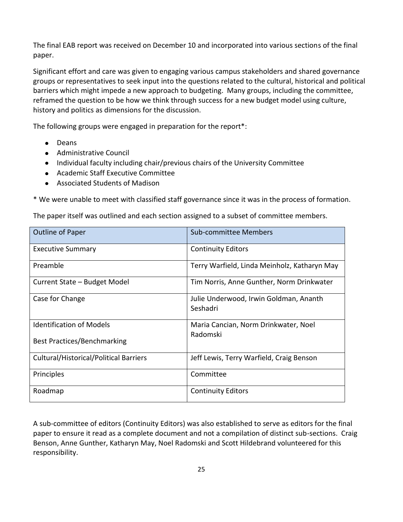The final EAB report was received on December 10 and incorporated into various sections of the final paper.

Significant effort and care was given to engaging various campus stakeholders and shared governance groups or representatives to seek input into the questions related to the cultural, historical and political barriers which might impede a new approach to budgeting. Many groups, including the committee, reframed the question to be how we think through success for a new budget model using culture, history and politics as dimensions for the discussion.

The following groups were engaged in preparation for the report\*:

- **•** Deans
- Administrative Council
- Individual faculty including chair/previous chairs of the University Committee
- Academic Staff Executive Committee
- Associated Students of Madison

\* We were unable to meet with classified staff governance since it was in the process of formation.

The paper itself was outlined and each section assigned to a subset of committee members.

| <b>Outline of Paper</b>                       | Sub-committee Members                              |
|-----------------------------------------------|----------------------------------------------------|
| <b>Executive Summary</b>                      | <b>Continuity Editors</b>                          |
| Preamble                                      | Terry Warfield, Linda Meinholz, Katharyn May       |
| Current State - Budget Model                  | Tim Norris, Anne Gunther, Norm Drinkwater          |
| Case for Change                               | Julie Underwood, Irwin Goldman, Ananth<br>Seshadri |
| <b>Identification of Models</b>               | Maria Cancian, Norm Drinkwater, Noel               |
| Best Practices/Benchmarking                   | Radomski                                           |
| <b>Cultural/Historical/Political Barriers</b> | Jeff Lewis, Terry Warfield, Craig Benson           |
| Principles                                    | Committee                                          |
| Roadmap                                       | <b>Continuity Editors</b>                          |

A sub-committee of editors (Continuity Editors) was also established to serve as editors for the final paper to ensure it read as a complete document and not a compilation of distinct sub-sections. Craig Benson, Anne Gunther, Katharyn May, Noel Radomski and Scott Hildebrand volunteered for this responsibility.